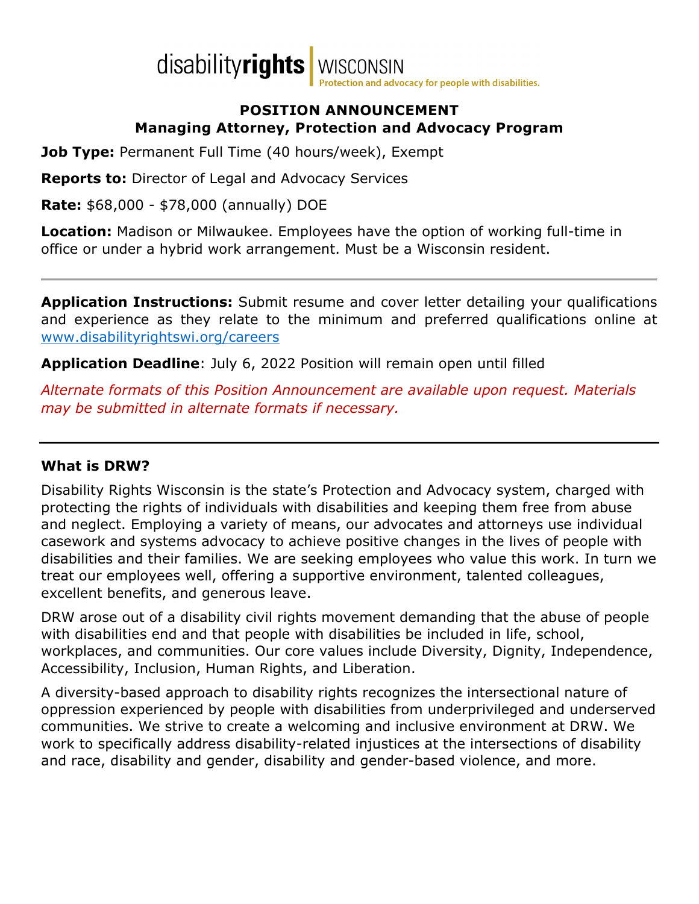

#### **POSITION ANNOUNCEMENT Managing Attorney, Protection and Advocacy Program**

**Job Type:** Permanent Full Time (40 hours/week), Exempt

**Reports to:** Director of Legal and Advocacy Services

**Rate:** \$68,000 - \$78,000 (annually) DOE

**Location:** Madison or Milwaukee. Employees have the option of working full-time in office or under a hybrid work arrangement. Must be a Wisconsin resident.

**Application Instructions:** Submit resume and cover letter detailing your qualifications and experience as they relate to the minimum and preferred qualifications online at [www.disabilityrightswi.org/careers](http://www.disabilityrightswi.org/careers)

**Application Deadline**: July 6, 2022 Position will remain open until filled

*Alternate formats of this Position Announcement are available upon request. Materials may be submitted in alternate formats if necessary.*

#### **What is DRW?**

Disability Rights Wisconsin is the state's Protection and Advocacy system, charged with protecting the rights of individuals with disabilities and keeping them free from abuse and neglect. Employing a variety of means, our advocates and attorneys use individual casework and systems advocacy to achieve positive changes in the lives of people with disabilities and their families. We are seeking employees who value this work. In turn we treat our employees well, offering a supportive environment, talented colleagues, excellent benefits, and generous leave.

DRW arose out of a disability civil rights movement demanding that the abuse of people with disabilities end and that people with disabilities be included in life, school, workplaces, and communities. Our core values include Diversity, Dignity, Independence, Accessibility, Inclusion, Human Rights, and Liberation.

A diversity-based approach to disability rights recognizes the intersectional nature of oppression experienced by people with disabilities from underprivileged and underserved communities. We strive to create a welcoming and inclusive environment at DRW. We work to specifically address disability-related injustices at the intersections of disability and race, disability and gender, disability and gender-based violence, and more.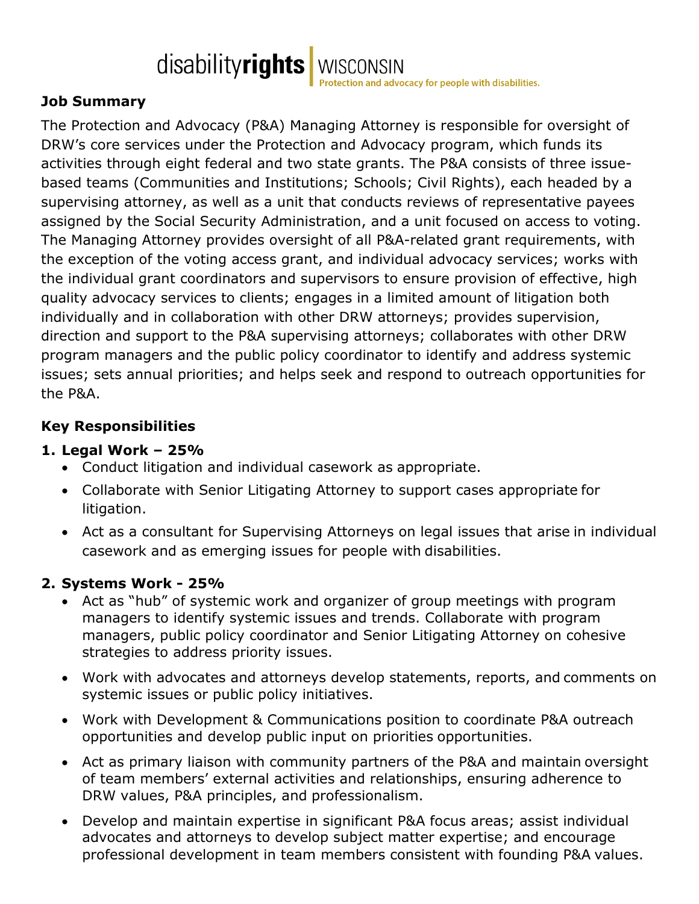# disabilityrights WISCONSIN

## **Job Summary**

The Protection and Advocacy (P&A) Managing Attorney is responsible for oversight of DRW's core services under the Protection and Advocacy program, which funds its activities through eight federal and two state grants. The P&A consists of three issuebased teams (Communities and Institutions; Schools; Civil Rights), each headed by a supervising attorney, as well as a unit that conducts reviews of representative payees assigned by the Social Security Administration, and a unit focused on access to voting. The Managing Attorney provides oversight of all P&A-related grant requirements, with the exception of the voting access grant, and individual advocacy services; works with the individual grant coordinators and supervisors to ensure provision of effective, high quality advocacy services to clients; engages in a limited amount of litigation both individually and in collaboration with other DRW attorneys; provides supervision, direction and support to the P&A supervising attorneys; collaborates with other DRW program managers and the public policy coordinator to identify and address systemic issues; sets annual priorities; and helps seek and respond to outreach opportunities for the P&A.

## **Key Responsibilities**

## **1. Legal Work – 25%**

- Conduct litigation and individual casework as appropriate.
- Collaborate with Senior Litigating Attorney to support cases appropriate for litigation.
- Act as a consultant for Supervising Attorneys on legal issues that arise in individual casework and as emerging issues for people with disabilities.

## **2. Systems Work - 25%**

- Act as "hub" of systemic work and organizer of group meetings with program managers to identify systemic issues and trends. Collaborate with program managers, public policy coordinator and Senior Litigating Attorney on cohesive strategies to address priority issues.
- Work with advocates and attorneys develop statements, reports, and comments on systemic issues or public policy initiatives.
- Work with Development & Communications position to coordinate P&A outreach opportunities and develop public input on priorities opportunities.
- Act as primary liaison with community partners of the P&A and maintain oversight of team members' external activities and relationships, ensuring adherence to DRW values, P&A principles, and professionalism.
- Develop and maintain expertise in significant P&A focus areas; assist individual advocates and attorneys to develop subject matter expertise; and encourage professional development in team members consistent with founding P&A values.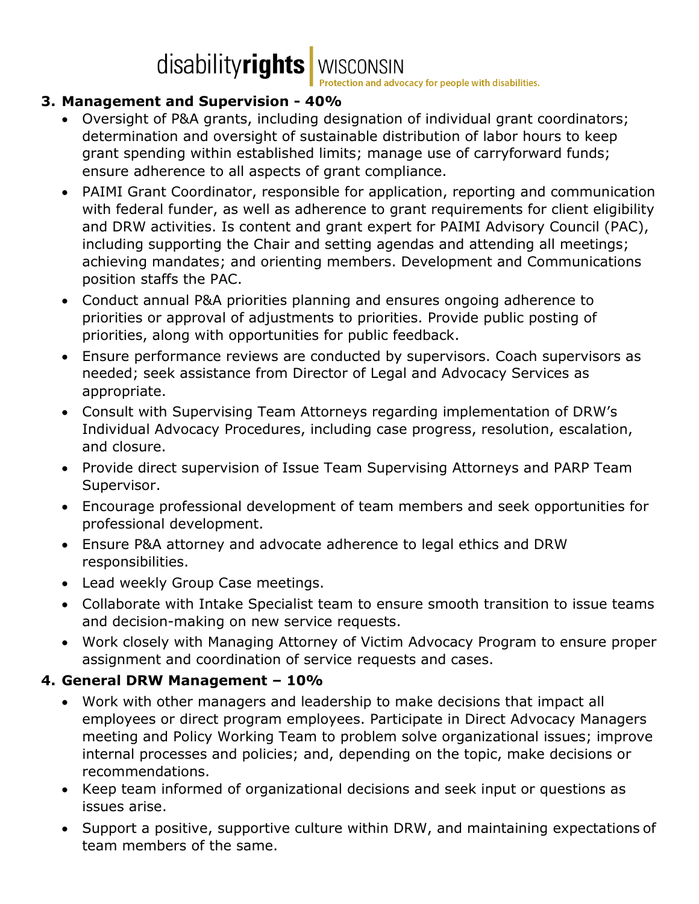disabilityrights WISCONSIN Protection and advocacy for people with disabilities.

# **3. Management and Supervision - 40%**

- Oversight of P&A grants, including designation of individual grant coordinators; determination and oversight of sustainable distribution of labor hours to keep grant spending within established limits; manage use of carryforward funds; ensure adherence to all aspects of grant compliance.
- PAIMI Grant Coordinator, responsible for application, reporting and communication with federal funder, as well as adherence to grant requirements for client eligibility and DRW activities. Is content and grant expert for PAIMI Advisory Council (PAC), including supporting the Chair and setting agendas and attending all meetings; achieving mandates; and orienting members. Development and Communications position staffs the PAC.
- Conduct annual P&A priorities planning and ensures ongoing adherence to priorities or approval of adjustments to priorities. Provide public posting of priorities, along with opportunities for public feedback.
- Ensure performance reviews are conducted by supervisors. Coach supervisors as needed; seek assistance from Director of Legal and Advocacy Services as appropriate.
- Consult with Supervising Team Attorneys regarding implementation of DRW's Individual Advocacy Procedures, including case progress, resolution, escalation, and closure.
- Provide direct supervision of Issue Team Supervising Attorneys and PARP Team Supervisor.
- Encourage professional development of team members and seek opportunities for professional development.
- Ensure P&A attorney and advocate adherence to legal ethics and DRW responsibilities.
- Lead weekly Group Case meetings.
- Collaborate with Intake Specialist team to ensure smooth transition to issue teams and decision-making on new service requests.
- Work closely with Managing Attorney of Victim Advocacy Program to ensure proper assignment and coordination of service requests and cases.

# **4. General DRW Management – 10%**

- Work with other managers and leadership to make decisions that impact all employees or direct program employees. Participate in Direct Advocacy Managers meeting and Policy Working Team to problem solve organizational issues; improve internal processes and policies; and, depending on the topic, make decisions or recommendations.
- Keep team informed of organizational decisions and seek input or questions as issues arise.
- Support a positive, supportive culture within DRW, and maintaining expectations of team members of the same.